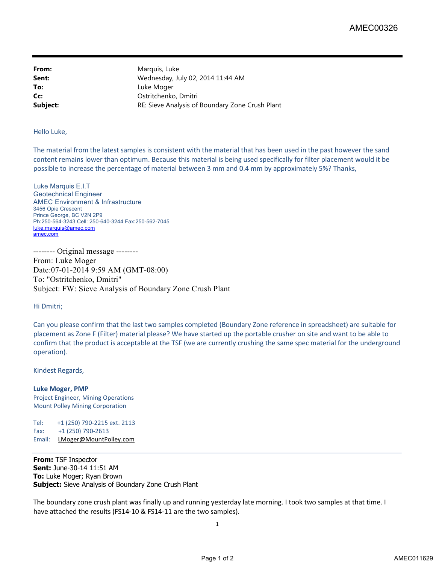**From:** Marquis, Luke **Sent:** Wednesday, July 02, 2014 11:44 AM **To:** Luke Moger **Cc:** Ostritchenko, Dmitri **Subject:** RE: Sieve Analysis of Boundary Zone Crush Plant

## Hello Luke,

The material from the latest samples is consistent with the material that has been used in the past however the sand content remains lower than optimum. Because this material is being used specifically for filter placement would it be possible to increase the percentage of material between 3 mm and 0.4 mm by approximately 5%? Thanks,

Luke Marquis E.I.T Geotechnical Engineer AMEC Environment & Infrastructure 3456 Opie Crescent Prince George, BC V2N 2P9 Ph:250-564-3243 Cell: 250-640-3244 Fax:250-562-7045 luke.marquis@amec.com amec.com

-------- Original message -------- From: Luke Moger Date:07-01-2014 9:59 AM (GMT-08:00) To: "Ostritchenko, Dmitri" Subject: FW: Sieve Analysis of Boundary Zone Crush Plant

## Hi Dmitri;

Can you please confirm that the last two samples completed (Boundary Zone reference in spreadsheet) are suitable for placement as Zone F (Filter) material please? We have started up the portable crusher on site and want to be able to confirm that the product is acceptable at the TSF (we are currently crushing the same spec material for the underground operation).

## Kindest Regards,

**Luke Moger, PMP** Project Engineer, Mining Operations Mount Polley Mining Corporation

Tel: +1 (250) 790-2215 ext. 2113 Fax: +1 (250) 790-2613 Email: LMoger@MountPolley.com

**From:** TSF Inspector **Sent:** June-30-14 11:51 AM **To:** Luke Moger; Ryan Brown **Subject:** Sieve Analysis of Boundary Zone Crush Plant

The boundary zone crush plant was finally up and running yesterday late morning. I took two samples at that time. I have attached the results (FS14-10 & FS14-11 are the two samples).